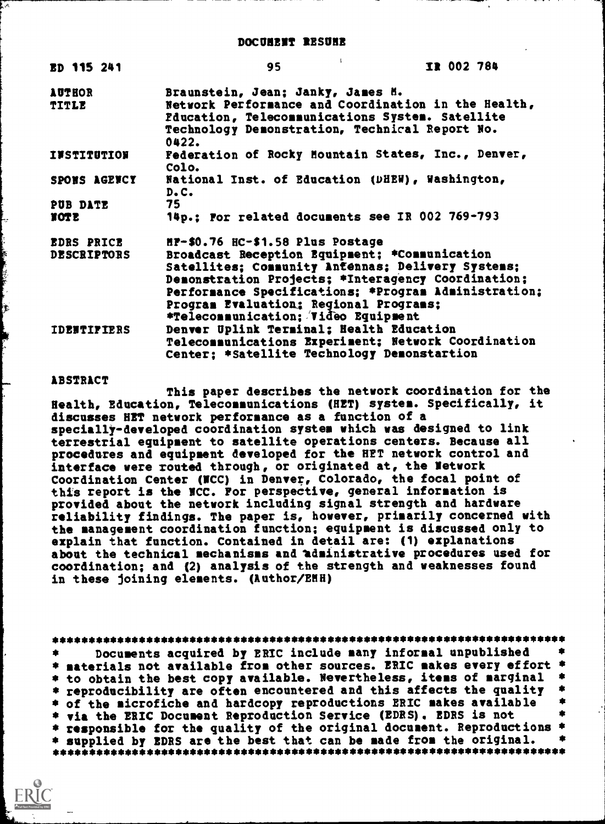| ED 115 241                              | 95                                                                                                                                                                                                                      | IR 002 784                                                                                                 |  |
|-----------------------------------------|-------------------------------------------------------------------------------------------------------------------------------------------------------------------------------------------------------------------------|------------------------------------------------------------------------------------------------------------|--|
| <b>AUTHOR</b><br>TITLE                  | Braunstein, Jean; Janky, James M.<br>Fducation, Telecommunications System. Satellite<br>Technology Demonstration, Technical Report No.<br>0422.                                                                         | Network Performance and Coordination in the Health,                                                        |  |
| <b>INSTITUTION</b>                      | Colo.                                                                                                                                                                                                                   | Federation of Rocky Mountain States, Inc., Denver,                                                         |  |
| SPONS AGENCY                            | National Inst. of Education (DHEW), Washington,<br>D.C.                                                                                                                                                                 |                                                                                                            |  |
| PUB DATE<br>TOTE                        | 75<br>14p.; For related documents see IR 002 769-793                                                                                                                                                                    |                                                                                                            |  |
| <b>EDRS PRICE</b><br><b>DESCRIPTORS</b> | HP-\$0.76 HC-\$1.58 Plus Postage<br>Broadcast Reception Equipment; *Communication<br>Satellites; Community Antennas; Delivery Systems;<br>Program Evaluation; Regional Programs;<br>*Telecommunication; Video Equipment | Demonstration Projects; *Interagency Coordination;<br>Performance Specifications; *Program Administration; |  |
| <b>IDENTIFIERS</b>                      | Denver Uplink Terminal; Health Education<br>Center: *Satellite Technology Demonstartion                                                                                                                                 | Telecommunications Experiment; Network Coordination                                                        |  |

# ABSTRACT

Ç

h.

This paper describes the network coordination for the Health, Education, Telecommunications (HET) system. Specifically, it discusses HET network performance as a function of a specially-developed coordination system which was designed to link terrestrial equipment to satellite operations centers. Because all procedures and equipment developed for the HET network control and interface were routed through, or originated at, the Network Coordination Center (MCC) in Denver, Colorado, the focal point of this report is the MCC. For perspective, general information is provided about the network including signal strength and hardware reliability findings. The paper is, however, primarily concerned with the management coordination function; equipment is discussed only to explain that function. Contained in detail are: (1) explanations about the technical mechanisms and administrative procedures used for coordination; and (2) analysis of the strength and weaknesses found in these joining elements. (Author/EMH)

| Documents acquired by ERIC include many informal unpublished<br>$\bullet$ |  |
|---------------------------------------------------------------------------|--|
| * materials not available from other sources. ERIC makes every effort *   |  |
| * to obtain the best copy available. Nevertheless, items of marginal *    |  |
| * reproducibility are often encountered and this affects the quality *    |  |
| * of the microfiche and hardcopy reproductions ERIC makes available       |  |
| * via the ERIC Document Reproduction Service (EDRS). EDRS is not          |  |
| * responsible for the quality of the original document. Reproductions *   |  |
| * supplied by EDRS are the best that can be made from the original.       |  |
|                                                                           |  |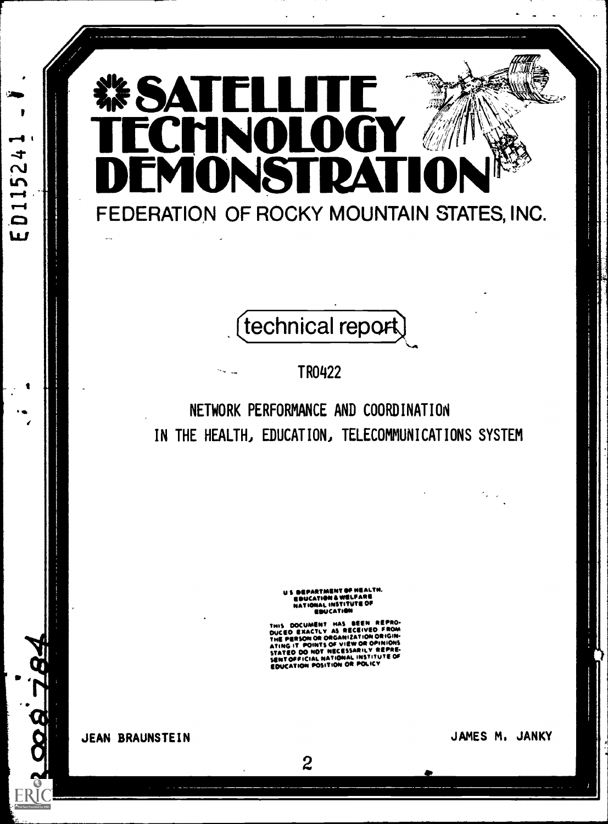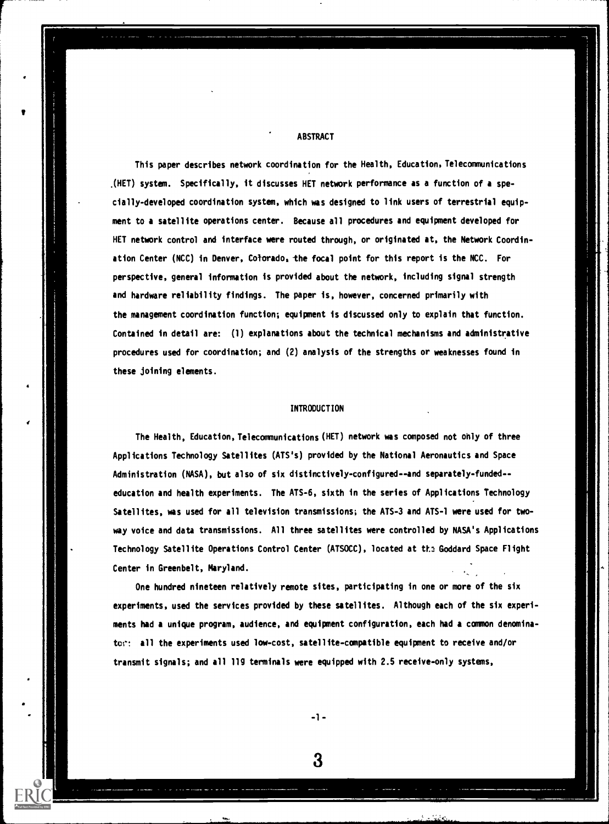**ABSTRACT** 

VIII.

This paper describes network coordination for the Health, Education, Telecommunications .(HET) system. Specifically, it discusses HET network performance as a function of a specially-developed coordination system, which was designed to link users of terrestrial equipment to a satellite operations center. Because all procedures and equipment developed for HET network control and interface were routed through, or originated at, the Network Coordination Center (NCC) in Denver, Colorado, the focal point for this report is the NCC. For perspective, general information is provided about the network, including signal strength and hardware reliability findings. The paper is, however, concerned primarily with the management coordination function; equipment is discussed only to explain that function. Contained in detail are: (1) explanations about the technical mechanisms and administrative procedures used for coordination; and (2) analysis of the strengths or weaknesses found in these joining elements.

#### INTRODUCTION

The Health, Education, Telecommunications (HET) network was composed not ohly of three Applications Technology Satellites (ATS's) provided by the National Aeronautics and Space Administration (NASA), but also of six distinctively-configured--and separately-funded-education and health experiments. The ATS-6, sixth in the series of Applications Technology Satellites, was used for all television transmissions; the ATS-3 and ATS-1 were used for twoway voice and data transmissions. All three satellites were controlled by NASA's Applications Technology Satellite Operations Control Center (ATSOCC), located at the Goddard Space Flight Center in Greenbelt, Maryland.

One hundred nineteen relatively remote sites, participating in one or more of the six experiments, used the services provided by these satellites. Although each of the six experiments had a unique program, audience, and equipment configuration, each had a common denominator: all the experiments used low-cost, satellite-compatible equipment to receive and/or transmit signals; and all 119 terminals were equipped with 2.5 receive-only systems,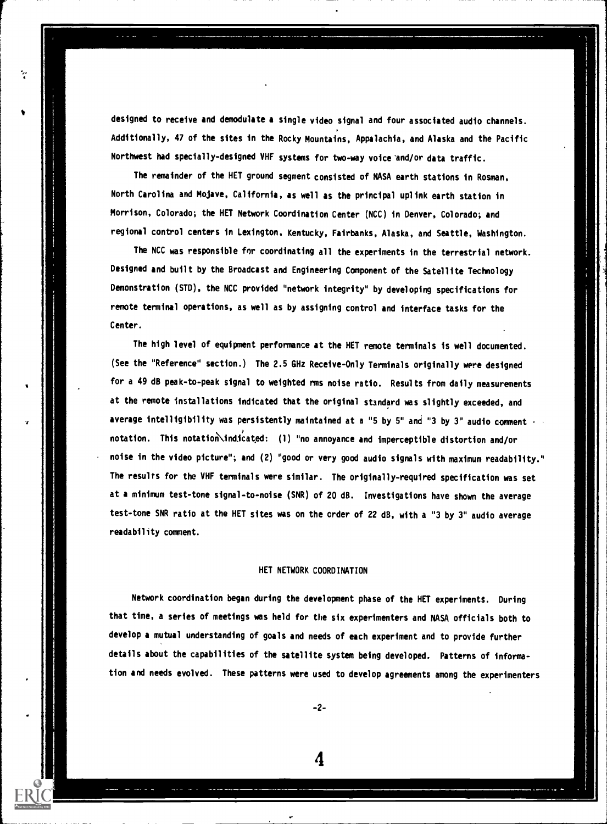designed to receive and demodulate a single video signal and four associated audio channels. Additionally, 47 of the sites in the Rocky Mountains, Appalachia, and Alaska and the Pacific Northwest had specially-designed VHF systems for two-way voice'and/or data traffic.

The remainder of the HET ground segment consisted of NASA earth stations in Rosman, North Carolina and Mojave, California, as well as the principal uplink earth station in Morrison, Colorado; the HET Network Coordination Center (NCC) in Denver, Colorado; and regional control centers in Lexington, Kentucky, Fairbanks, Alaska, and Seattle, Washington.

The NCC was responsible for coordinating all the experiments in the terrestrial network. Designed and built by the Broadcast and Engineering Component of the Satellite Technology Demonstration (STD), the NCC provided "network integrity" by developing specifications for remote terminal operations, as well as by assigning control and interface tasks for the Center.

The high level of equipment performance at the HET remote terminals is well documented. (See the "Reference" section.) The 2.5 GHz Receive-Only Terminals originally were designed for a 49 dB peak-to-peak signal to weighted rms noise ratio. Results from daily measurements at the remote installations indicated that the original standard was slightly exceeded, and average intelligibility was persistently maintained at a "5 by 5" and "3 by 3" audio comment - notation. This notation indicated: (1) "no annoyance and imperceptible distortion and/or noise in the video picture"; and (2) "good or very good audio signals with maximum readability." The results for the VHF terminals were similar. The originally-required specification was set at a minimum test-tone signal-to-noise (SNR) of 20 dB. Investigations have shown the average test-tone SNR ratio at the HET sites was on the crder of 22 dB, with a "3 by 3" audio average readability comment.

## HET NETWORK COORDINATION

Network coordination began during the development phase of the HET experiments. During that time, a series of meetings was held for the six experimenters and NASA officials both to develop a mutual understanding of goals and needs of each experiment and to provide further details about the capabilities of the satellite system being developed. Patterns of information and needs evolved. These patterns were used to develop agreements among the experimenters

-2-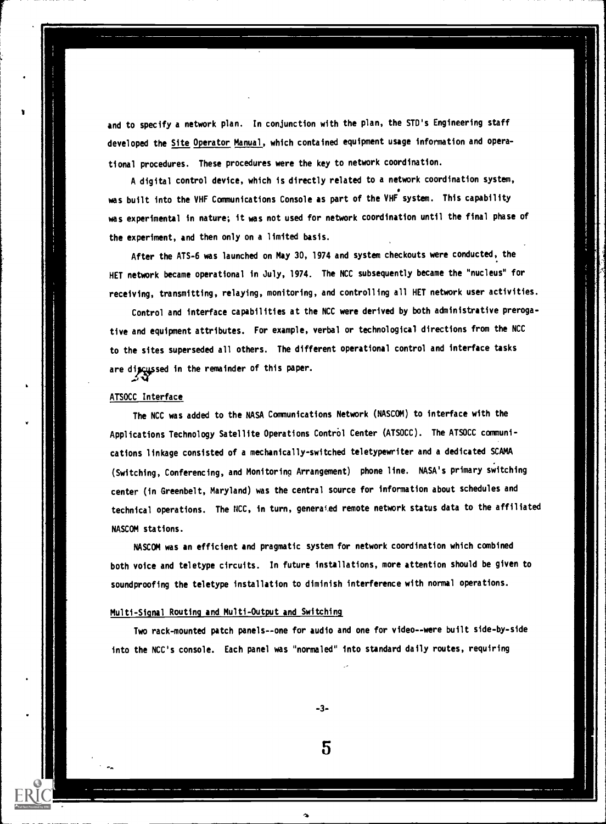and to specify a network plan. In conjunction with the plan, the STD's Engineering staff developed the Site Operator Manual, which contained equipment usage information and operational procedures. These procedures were the key to network coordination.

A digital control device, which is directly related to a network coordination system, was built into the VHF Communications Console as part of the VHF system. This capability was experimental in nature; it was not used for network coordination until the final phase of the experiment, and then only on a limited basis.

After the ATS-6 was launched on May 30, 1974 and system checkouts were conducted, the HET network became operational in July, 1974. The NCC subsequently became the "nucleus" for receiving, transmitting, relaying, monitoring, and controlling all HET network user activities.

Control and interface capabilities at the NCC were derived by both administrative prerogative and equipment attributes. For example, verbal or technological directions from the NCC to the sites superseded all others. The different operational control and interface tasks are dipcussed in the remainder of this paper.

## ATSOCC Interface

The NCC was added to the NASA Communications Network (NASCOM) to interface with the Applications Technology Satellite Operations Control Center (ATSOCC). The ATSOCC communications linkage consisted of a mechanically-switched teletypewriter and a dedicated SCAMA (Switching, Conferencing, and Monitoring Arrangement) phone line. NASA's primary switching center (in Greenbelt, Maryland) was the central source for information about schedules and technical operations. The NCC, in turn, generai.ed remote network status data to the affiliated NASCOM stations.

NASCOM was an efficient and pragmatic system for network coordination which combined both voice and teletype circuits. In future installations, more attention should be given to soundproofing the teletype installation to diminish interference with normal operations.

#### Multi-Signal Routing and Multi-Output and Switching

Two rack-mounted patch panels--one for audio and one for video--were built side-by-side into the NCC's console. Each panel was "normaled" into standard daily routes, requiring

-3-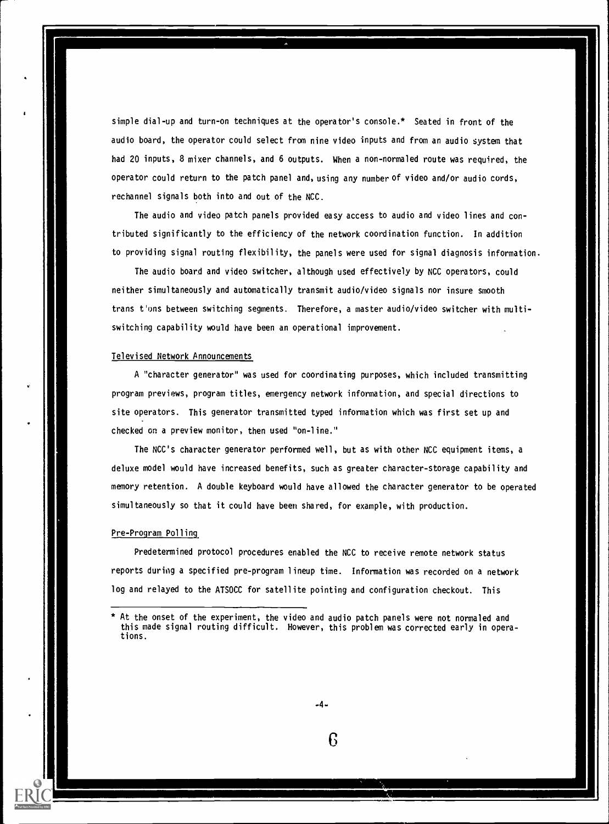simple dial-up and turn-on techniques at the operator's console.\* Seated in front of the audio board, the operator could select from nine video inputs and from an audio system that had 20 inputs, 8 mixer channels, and 6 outputs. When a non-normaled route was required, the operator could return to the patch panel and, using any number of video and/or audio cords, rechannel signals both into and out of the NCC.

The audio and video patch panels provided easy access to audio and video lines and contributed significantly to the efficiency of the network coordination function. In addition to providing signal routing flexibility, the panels were used for signal diagnosis information.

The audio board and video switcher, although used effectively by NCC operators, could neither simultaneously and automatically transmit audio/video signals nor insure smooth trans t'ons between switching segments. Therefore, a master audio/video switcher with multiswitching capability would have been an operational improvement.

## Televised Network Announcements

A "character generator" was used for coordinating purposes, which included transmitting program previews, program titles, emergency network information, and special directions to site operators. This generator transmitted typed information which was first set up and checked on a preview monitor, then used "on-line."

The NCC's character generator performed well, but as with other NCC equipment items, a deluxe model would have increased benefits, such as greater character-storage capability and memory retention. A double keyboard would have allowed the character generator to be operated simultaneously so that it could have been shared, for example, with production.

#### Pre-Program Polling

Predetermined protocol procedures enabled the NCC to receive remote network status reports during a specified pre-program lineup time. Information was recorded on a network log and relayed to the ATSOCC for satellite pointing and configuration checkout. This

-4-

ß

At the onset of the experiment, the video and audio patch panels were not normaled and this made signal routing difficult. However, this problem was corrected early in operations.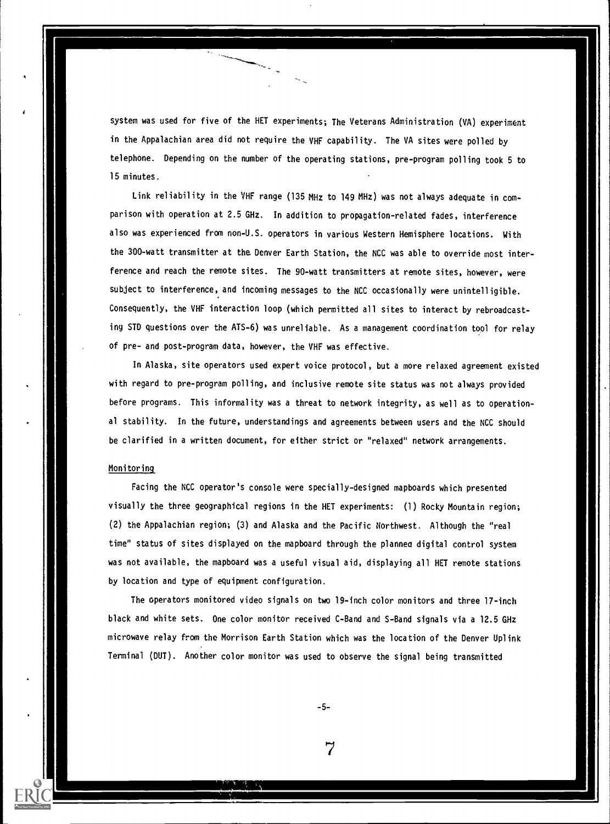system was used for five of the HET experiments; The Veterans Administration (VA) experiment in the Appalachian area did not require the VHF capability. The VA sites were polled by telephone. Depending on the number of the operating stations, pre-program polling took 5 to 15 minutes.

Link reliability in the VHF range (135 MHz to 149 MHz) was not always adequate in comparison with operation at 2.5 GHz. In addition to propagation-related fades, interference also was experienced from non-U.S. operators in various Western Hemisphere locations. With the 300-watt transmitter at the Denver Earth Station, the NCC was able to override most interference and reach the remote sites. The 90-watt transmitters at remote sites, however, were subject to interference, and incoming messages to the NCC occasionally were unintelligible. Consequently, the VHF interaction loop (which permitted all sites to interact by rebroadcasting STD questions over the ATS-6) was unreliable. As a management coordination tool for relay of pre- and post-program data, however, the VHF was effective.

In Alaska, site operators used expert voice protocol, but a more relaxed agreement existed with regard to pre-program polling, and inclusive remote site status was not always provided before programs. This informality was a threat to network integrity, as well as to operational stability. In the future, understandings and agreements between users and the NCC should be clarified in a written document, for either strict or "relaxed" network arrangements.

## Monitoring

Facing the NCC operator's console were specially-designed mapboards which presented visually the three geographical regions in the HET experiments: (1) Rocky Mountain region; (2) the Appalachian region; (3) and Alaska and the Pacific Northwest. Although the "real time" status of sites displayed on the mapboard through the plannea digital control system was not available, the mapboard was a useful visual aid, displaying all HET remote stations by location and type of equipment configuration.

The operators monitored video signals on two 19-inch color monitors and three 17-inch black and white sets. One color monitor received C-Band and S-Band signals via a 12.5 GHz microwave relay from the Morrison Earth Station which was the location of the Denver Uplink Terminal (DUT). Another color monitor was used to observe the signal being transmitted

-5-

7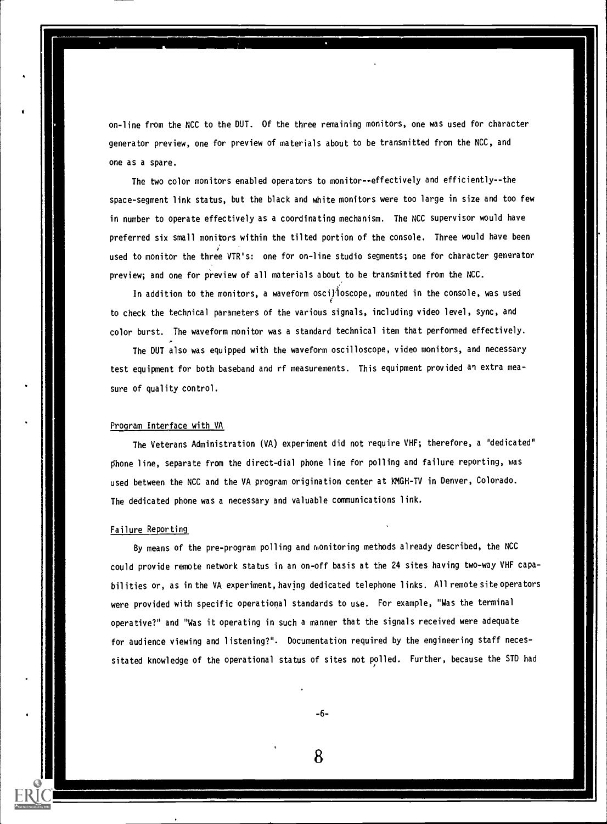on-line from the NCC to the DUT. Of the three remaining monitors, one was used for character generator preview, one for preview of materials about to be transmitted from the NCC, and one as a spare.

The two color monitors enabled operators to monitor--effectively and efficiently--the space-segment link status, but the black and white monitors were too large in size and too few in number to operate effectively as a coordinating mechanism. The NCC supervisor would have preferred six small monitors within the tilted portion of the console. Three would have been used to monitor the three VTR's: one for on-line studio segments; one for character generator preview; and one for preview of all materials about to be transmitted from the NCC.

In addition to the monitors, a waveform osci} loscope, mounted in the console, was used to check the technical parameters of the various signals, including video level, sync, and color burst. The waveform monitor was a standard technical item that performed effectively.

The OUT also was equipped with the waveform oscilloscope, video monitors, and necessary test equipment for both baseband and rf measurements. This equipment provided an extra measure of quality control.

## Program Interface with VA

The Veterans Administration (VA) experiment did not require VHF; therefore, a "dedicated" phone line, separate from the direct-dial phone line for polling and failure reporting, was used between the NCC and the VA program origination center at KMGH-TV in Denver, Colorado. The dedicated phone was a necessary and valuable communications link.

## Failure Reporting

By means of the pre-program polling and monitoring methods already described, the NCC could provide remote network status in an on-off basis at the 24 sites having two-way VHF capabilities or, as in the VA experiment, having dedicated telephone links. All remote site operators were provided with specific operational standards to use. For example, "Was the terminal operative?" and "Was it operating in such a manner that the signals received were adequate for audience viewing and listening?". Documentation required by the engineering staff necessitated knowledge of the operational status of sites not polled. Further, because the STD had

-6-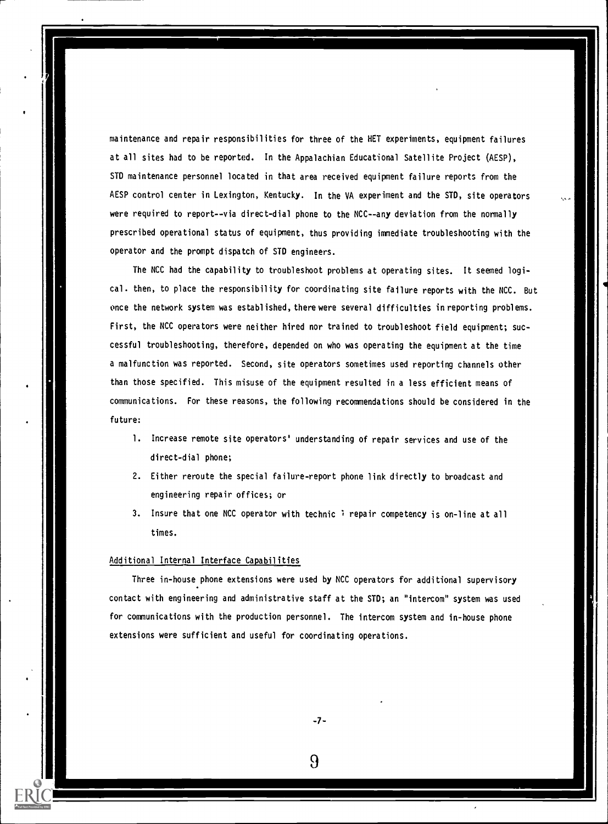maintenance and repair responsibilities for three of the HET experiments, equipment failures at all sites had to be reported. In the Appalachian Educational Satellite Project (AESP), STD maintenance personnel located in that area received equipment failure reports from the AESP control center in Lexington, Kentucky. In the VA experiment and the STD, site operators were required to report--via direct-dial phone to the NCC--any deviation from the normally prescribed operational status of equipment, thus providing immediate troubleshooting with the operator and the prompt dispatch of STD engineers.

The NCC had the capability to troubleshoot problems at operating sites. It seemed logical. then, to place the responsibility for coordinating site failure reports with the NCC. But once the network system was established, there were several difficulties in reporting problems. First, the NCC operators were neither hired nor trained to troubleshoot field equipment; successful troubleshooting, therefore, depended on who was operating the equipment at the time a malfunction was reported. Second, site operators sometimes used reporting channels other than those specified. This misuse of the equipment resulted in a less efficient means of communications. For these reasons, the following recommendations should be considered in the future:

- 1. Increase remote site operators' understanding of repair services and use of the direct-dial phone;
- 2. Either reroute the special failure-report phone link directly to broadcast and engineering repair offices; or
- 3. Insure that one NCC operator with technic *i* repair competency is on-line at all times.

## Additional Internal Interface Capabilities

Three in -house phone extensions were used by NCC operators for additional supervisory contact with engineering and administrative staff at the STD; an "intercom" system was used for communications with the production personnel. The intercom system and in-house phone extensions were sufficient and useful for coordinating operations.

-7-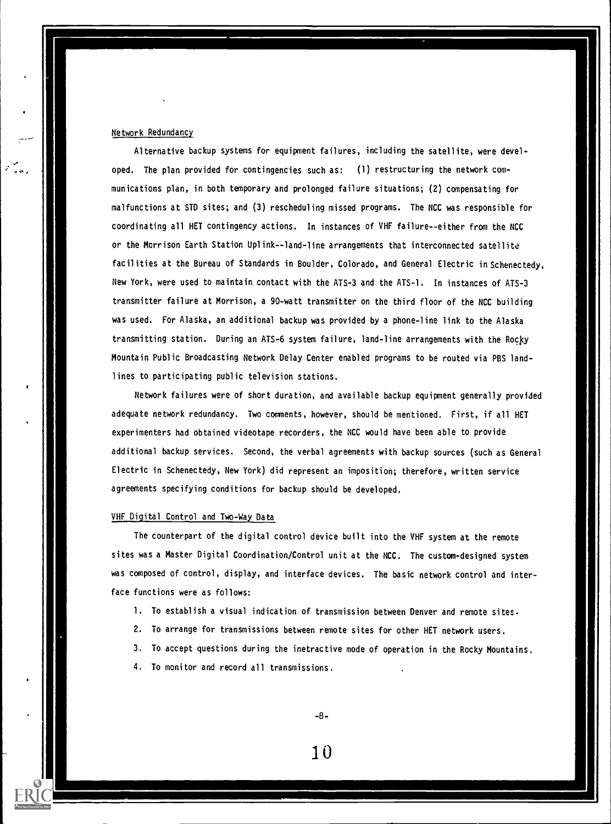## Network Redundancy

Alternative backup systems for equipment failures, including the satellite, were developed. The plan provided for contingencies such as: (1) restructuring the network communications plan, in both temporary and prolonged failure situations; (2) compensating for malfunctions at STD sites; and (3) rescheduling missed programs. The NCC was responsible for coordinating all HET contingency actions. In instances of VHF failure--either from the NCC or the Morrison Earth Station Uplink--land-line arrangements that interconnected satellite facilities at the Bureau of Standards in Boulder, Colorado, and General Electric in Schenectedy, New York, were used to maintain contact with the ATS-3 and the ATS-1. In instances of ATS-3 transmitter failure at Morrison, a 90-watt transmitter on the third floor of the NCC building was used. For Alaska, an additional backup was provided by a phone-line link to the Alaska transmitting station. During an ATS-6 system failure, land-line arrangements with the Rocky Mountain Public Broadcasting Network Delay Center enabled programs to be routed via PBS landlines to participating public television stations.

Network failures were of short duration, and available backup equipment generally provided adequate network redundancy. Two comments, however, should be mentioned. First, if all HET experimenters had obtained videotape recorders, the NCC would have been able to provide additional backup services. Second, the verbal agreements with backup sources (such as General Electric in Schenectedy, New York) did represent an imposition; therefore, written service agreements specifying conditions for backup should be developed.

## VHF Digital Control and Two-Way Data

The counterpart of the digital control device built into the VHF system at the remote sites was a Master Digital Coordination/Control unit at the NCC. The custom-designed system was composed of control, display, and interface devices. The basic network control and interface functions were as follows:

- 1. To establish a visual indication of transmission between Denver and remote sites.
- 2. To arrange for transmissions between remote sites for other HET network users.
- 3. To accept questions during the inetractive mode of operation in the Rocky Mountains.
- 4. To monitor and record all transmissions.

-8-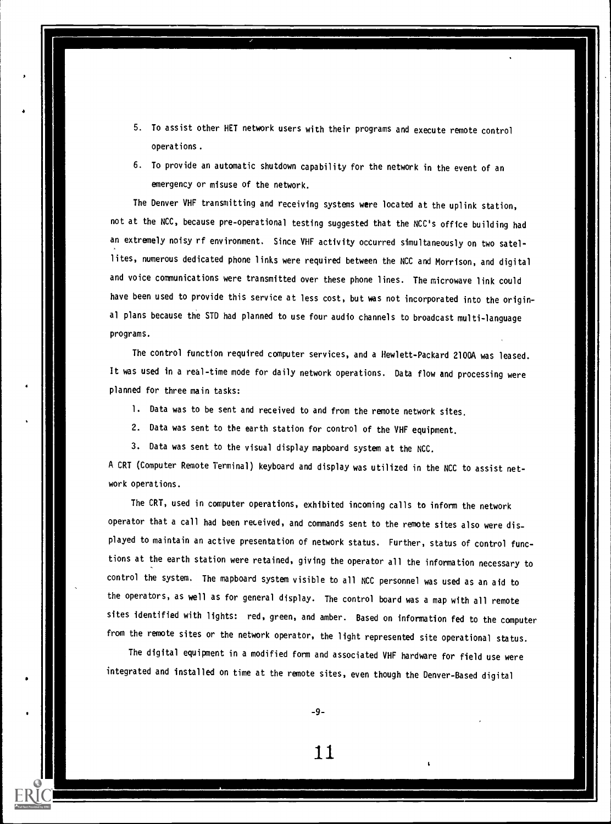- 5. To assist other NET network users with their programs and execute remote control operations.
- 6. To provide an automatic shutdown capability for the network in the event of an emergency or misuse of the network.

The Denver VHF transmitting and receiving systems were located at the uplink station, not at the NCC, because pre-operational testing suggested that the NCC's office building had an extremely noisy rf environment. Since VHF activity occurred simultaneously on two satellites, numerous dedicated phone links were required between the NCC and Morrison, and digital and voice communications were transmitted over these phone lines. The microwave link could have been used to provide this service at less cost, but was not incorporated into the original plans because the STD had planned to use four audio channels to broadcast multi-language programs.

The control function required computer services, and a Hewlett-Packard 2100A was leased. It was used in a real-time mode for daily network operations. Data flow and processing were planned for three main tasks:

- 1. Data was to be sent and received to and from the remote network sites.
- 2. Data was sent to the earth station for control of the VHF equipment.
- 3. Data was sent to the visual display mapboard system at the NCC.

A CRT (Computer Remote Terminal) keyboard and display was utilized in the NCC to assist network operations.

The CRT, used in computer operations, exhibited incoming calls to inform the network operator that a call had been received, and commands sent to the remote sites also were displayed to maintain an active presentation of network status. Further, status of control functions at the earth station were retained, giving the operator all the information necessary to control the system. The mapboard system visible to all NCC personnel was used as an aid to the operators, as well as for general display. The control board was a map with all remote sites identified with lights: red, green, and amber. Based on information fed to the computer from the remote sites or the network operator, the light represented site operational status.

The digital equipment in a modified form and associated VHF hardware for field use were integrated and installed on time at the remote sites, even though the Denver-Based digital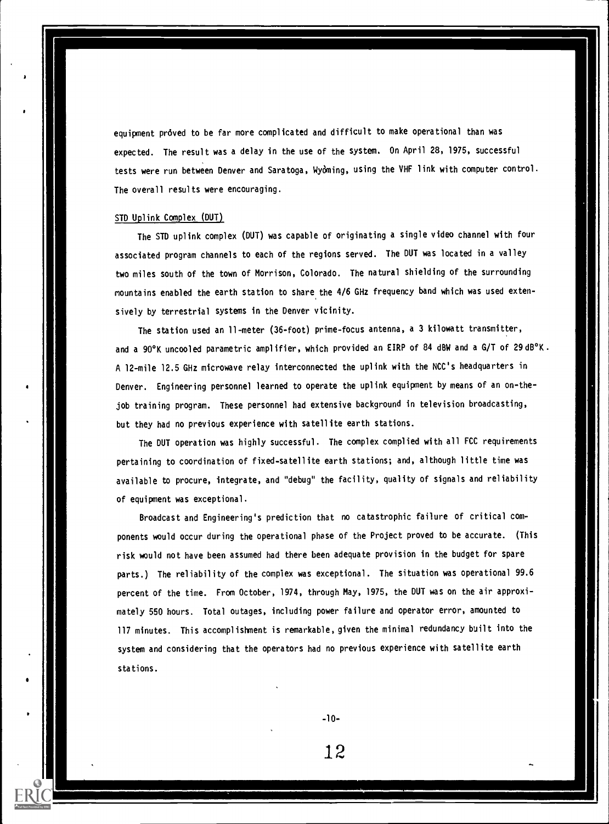equipment proved to be far more complicated and difficult to make operational than was expected. The result was a delay in the use of the system. On April 28, 1975, successful tests were run between Denver and Saratoga, Wyoming, using the VHF link with computer control. The overall results were encouraging.

## STD Uplink Complex (DUT)

The STD uplink complex (DUT) was capable of originating a single video channel with four associated program channels to each of the regions served. The DUT was located in a valley two miles south of the town of Morrison, Colorado. The natural shielding of the surrounding mountains enabled the earth station to share the 4/6 GHz frequency band which was used extensively by terrestrial systems in the Denver vicinity.

The station used an 11-meter (36-foot) prime-focus antenna, a 3 kilowatt transmitter, and a 90°K uncooled parametric amplifier, which provided an EIRP of 84 dBW and a G/T of 29 dB°K. A 12-mile 12.5 GHz microwave relay interconnected the uplink with the NCC's headquarters in Denver. Engineering personnel learned to operate the uplink equipment by means of an on-thejob training program. These personnel had extensive background in television broadcasting, but they had no previous experience with satellite earth stations.

The DUT operation was highly successful. The complex complied with all FCC requirements pertaining to coordination of fixed-satellite earth stations; and, although little time was available to procure, integrate, and "debug" the facility, quality of signals and reliability of equipment was exceptional.

Broadcast and Engineering's prediction that no catastrophic failure of critical components would occur during the operational phase of the Project proved to be accurate. (This risk would not have been assumed had there been adequate provision in the budget for spare parts.) The reliability of the complex was exceptional. The situation was operational 99.6 percent of the time. From October, 1974, through May, 1975, the DUT was on the air approximately 550 hours. Total outages, including power failure and operator error, amounted to 117 minutes. This accomplishment is remarkable, given the minimal redundancy built into the system and considering that the operators had no previous experience with satellite earth stations.

-10-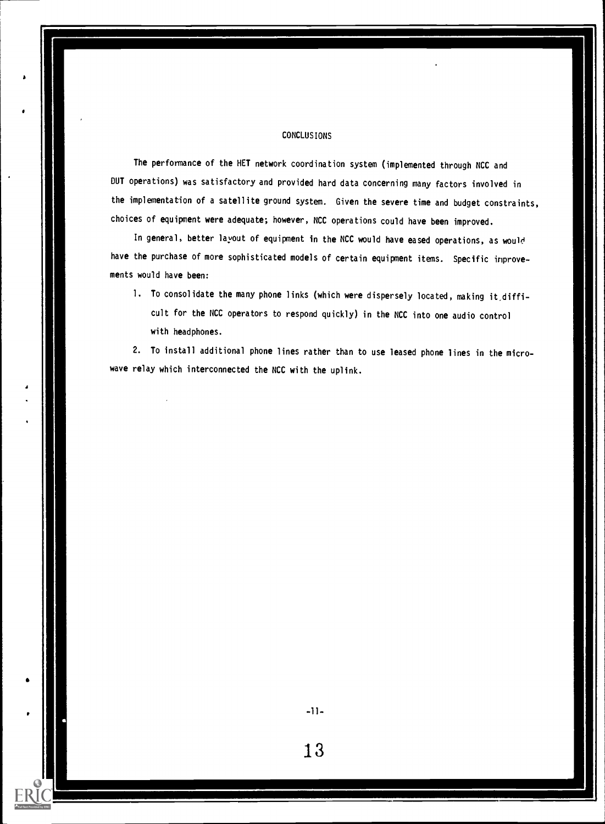## CONCLUSIONS

The performance of the HET network coordination system (implemented through NCC and DUT operations) was satisfactory and provided hard data concerning many factors involved in the implementation of a satellite ground system. Given the severe time and budget constraints, choices of equipment were adequate; however, NCC operations could have been improved.

In general, better layout of equipment in the NCC would have eased operations, as woul' have the purchase of more sophisticated models of certain equipment items. Specific improvements would have been:

1. To consolidate the many phone links (which were dispersely located, making it,difficult for the NCC operators to respond quickly) in the NCC into one audio control with headphones.

2. To install additional phone lines rather than to use leased phone lines in the microwave relay which interconnected the NCC with the uplink.

 $-11-$ 

an di sebagai ke